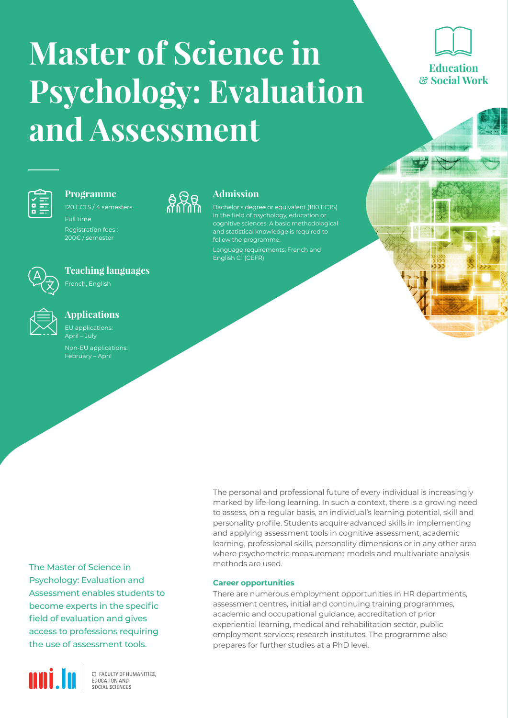# **Master of Science in Psychology: Evaluation and Assessment**

 $\frac{1}{2}82$ 

**Admission**

follow the programme.

English C1 (CEFR)

in the field of psychology, education or cognitive sciences. A basic methodological and statistical knowledge is required to



## **Programme**

Full time Registration fees :

200€ / semester



## **Teaching languages**

French, English



#### **Applications** EU applications:

April – July Non-EU applications: February – April

> The personal and professional future of every individual is increasingly marked by life-long learning. In such a context, there is a growing need to assess, on a regular basis, an individual's learning potential, skill and personality profile. Students acquire advanced skills in implementing and applying assessment tools in cognitive assessment, academic learning, professional skills, personality dimensions or in any other area where psychometric measurement models and multivariate analysis methods are used.

**Career opportunities**

There are numerous employment opportunities in HR departments, assessment centres, initial and continuing training programmes, academic and occupational guidance, accreditation of prior experiential learning, medical and rehabilitation sector, public employment services; research institutes. The programme also prepares for further studies at a PhD level.

The Master of Science in Psychology: Evaluation and Assessment enables students to become experts in the specific field of evaluation and gives access to professions requiring the use of assessment tools.



**C FACULTY OF HUMANITIES.** EDUCATION AND SOCIAL SCIENCES

Education & Social Work